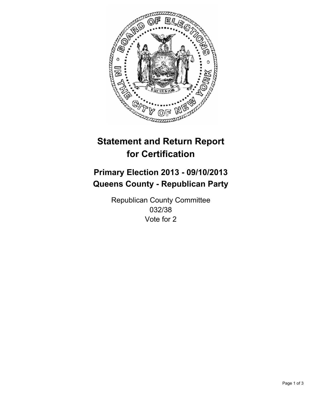

# **Statement and Return Report for Certification**

# **Primary Election 2013 - 09/10/2013 Queens County - Republican Party**

Republican County Committee 032/38 Vote for 2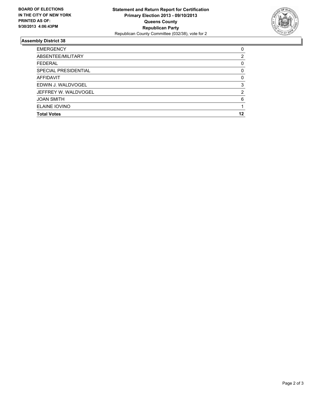

## **Assembly District 38**

| 0        |
|----------|
| 2        |
| 0        |
| 0        |
| $\Omega$ |
| 3        |
| 2        |
| 6        |
|          |
| 12       |
|          |